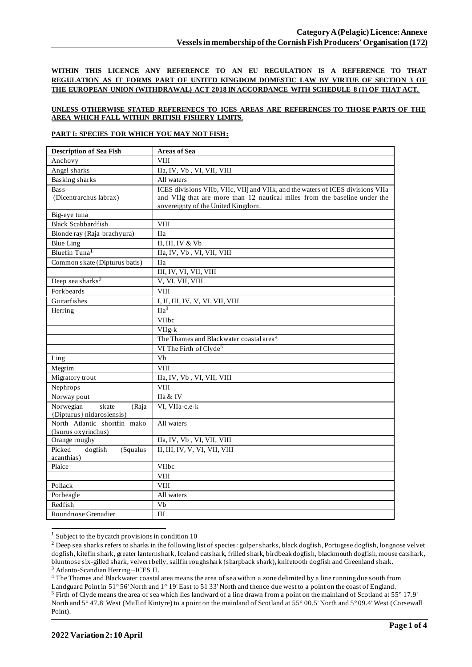**WITHIN THIS LICENCE ANY REFERENCE TO AN EU REGULATION IS A REFERENCE TO THAT REGULATION AS IT FORMS PART OF UNITED KINGDOM DOMESTIC LAW BY VIRTUE OF SECTION 3 OF THE EUROPEAN UNION (WITHDRAWAL) ACT 2018 IN ACCORDANCE WITH SCHEDULE 8 (1) OF THAT ACT.**

### **UNLESS OTHERWISE STATED REFERENECS TO ICES AREAS ARE REFERENCES TO THOSE PARTS OF THE AREA WHICH FALL WITHIN BRITISH FISHERY LIMITS.**

### **PART I: SPECIES FOR WHICH YOU MAY NOT FISH:**

| <b>Description of Sea Fish</b>              | <b>Areas of Sea</b>                                                             |
|---------------------------------------------|---------------------------------------------------------------------------------|
| Anchovy                                     | <b>VIII</b>                                                                     |
| Angel sharks                                | IIa, IV, Vb, VI, VII, VIII                                                      |
| <b>Basking sharks</b>                       | All waters                                                                      |
| <b>Bass</b>                                 | ICES divisions VIIb, VIIc, VIIj and VIIk, and the waters of ICES divisions VIIa |
| (Dicentrarchus labrax)                      | and VIIg that are more than 12 nautical miles from the baseline under the       |
|                                             | sovereignty of the United Kingdom.                                              |
| Big-eye tuna                                |                                                                                 |
| <b>Black Scabbardfish</b>                   | <b>VIII</b>                                                                     |
| Blonde ray (Raja brachyura)                 | <b>IIa</b>                                                                      |
| <b>Blue Ling</b>                            | II, III, IV & Vb                                                                |
| Bluefin Tuna <sup>1</sup>                   | IIa, IV, Vb, VI, VII, VIII                                                      |
| Common skate (Dipturus batis)               | <b>IIa</b>                                                                      |
|                                             | III, IV, VI, VII, VIII                                                          |
| Deep sea sharks <sup>2</sup>                | V, VI, VII, VIII                                                                |
| Forkbeards                                  | <b>VIII</b>                                                                     |
| Guitarfishes                                | I, II, III, IV, V, VI, VII, VIII                                                |
| Herring                                     | IIa <sup>3</sup>                                                                |
|                                             | VIIbc                                                                           |
|                                             | $VIIg-k$                                                                        |
|                                             | The Thames and Blackwater coastal area <sup>4</sup>                             |
|                                             | VI The Firth of Clyde <sup>5</sup>                                              |
| Ling                                        | Vb                                                                              |
| Megrim                                      | <b>VIII</b>                                                                     |
| Migratory trout                             | IIa, IV, Vb, VI, VII, VIII                                                      |
| Nephrops                                    | <b>VIII</b>                                                                     |
| Norway pout                                 | IIa & IV                                                                        |
| Norwegian<br>skate<br>(Raja                 | VI, VIIa-c,e-k                                                                  |
| {Dipturus} nidarosiensis)                   |                                                                                 |
| North Atlantic shortfin mako                | All waters                                                                      |
| (Isurus oxyrinchus)                         |                                                                                 |
| Orange roughy                               | IIa, IV, Vb, VI, VII, VIII                                                      |
| Picked<br>dogfish<br>(Squalus<br>acanthias) | II, III, IV, V, VI, VII, VIII                                                   |
| Plaice                                      | VIIbc                                                                           |
|                                             | <b>VIII</b>                                                                     |
| Pollack                                     | <b>VIII</b>                                                                     |
| Porbeagle                                   | All waters                                                                      |
| Redfish                                     | Vb                                                                              |
| Roundnose Grenadier                         | III                                                                             |
|                                             |                                                                                 |

 $1$  Subject to the bycatch provisions in condition 10

<sup>&</sup>lt;sup>2</sup> Deep sea sharks refers to sharks in the following list of species: gulper sharks, black dogfish, Portugese dogfish, longnose velvet dogfish, kitefin shark, greater lanternshark, Iceland catshark, frilled shark, birdbeak dogfish, blackmouth dogfish, mouse catshark, bluntnose six-gilled shark, velvert belly, sailfin roughshark (sharpback shark), knifetooth dogfish and Greenland shark. <sup>3</sup> Atlanto-Scandian Herring –ICES II.

<sup>&</sup>lt;sup>4</sup> The Thames and Blackwater coastal area means the area of sea within a zone delimited by a line running due south from

Landguard Point in 51° 56' North and 1° 19' East to 51 33' North and thence due west to a point on the coast of England. <sup>5</sup> Firth of Clyde means the area of sea which lies landward of a line drawn from a point on the mainland of Scotland at 55° 17.9' North and 5° 47.8' West (Mull of Kintyre) to a point on the mainland of Scotland at 55° 00.5' North and 5° 09.4' West (Corsewall Point).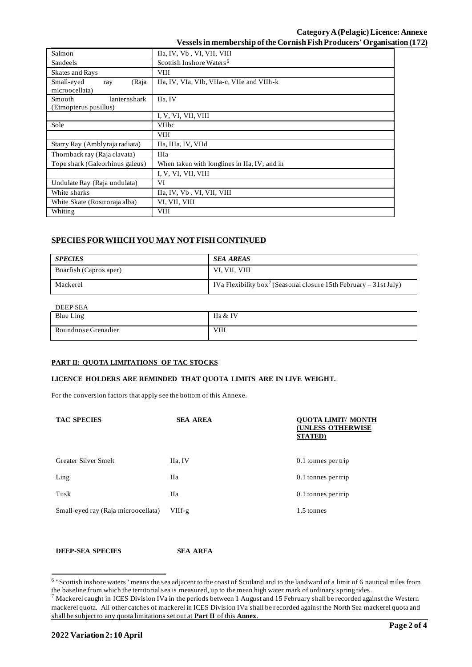| Salmon                                                 | IIa, IV, Vb, VI, VII, VIII                   |  |
|--------------------------------------------------------|----------------------------------------------|--|
| Sandeels                                               | Scottish Inshore Waters <sup>6</sup>         |  |
| <b>Skates and Rays</b>                                 | <b>VIII</b>                                  |  |
| Small-eyed<br>(Raja<br>ray<br>microocellata)           | IIa, IV, VIa, VIb, VIIa-c, VIIe and VIIh-k   |  |
| lanternshark<br><b>Smooth</b><br>(Etmopterus pusillus) | IIa, IV                                      |  |
|                                                        | I, V, VI, VII, VIII                          |  |
| Sole                                                   | <b>VIIbc</b>                                 |  |
|                                                        | <b>VIII</b>                                  |  |
| Starry Ray (Amblyraja radiata)                         | IIa, IIIa, IV, VIId                          |  |
| Thornback ray (Raja clavata)                           | <b>IIIa</b>                                  |  |
| Tope shark (Galeorhinus galeus)                        | When taken with longlines in IIa, IV; and in |  |
|                                                        | I, V, VI, VII, VIII                          |  |
| Undulate Ray (Raja undulata)                           | VI                                           |  |
| White sharks                                           | IIa, IV, Vb, VI, VII, VIII                   |  |
| White Skate (Rostroraja alba)                          | VI, VII, VIII                                |  |
| Whiting                                                | <b>VIII</b>                                  |  |

## **SPECIES FOR WHICH YOU MAY NOT FISH CONTINUED**

| <b>SPECIES</b>         | <b>SEA AREAS</b>                                                              |
|------------------------|-------------------------------------------------------------------------------|
| Boarfish (Capros aper) | VI, VII, VIII                                                                 |
| Mackerel               | IVa Flexibility box <sup>7</sup> (Seasonal closure 15th February – 31st July) |

# DEEP SEA

| Blue Ling           | IIa & IV    |
|---------------------|-------------|
| Roundnose Grenadier | <b>VIII</b> |

### **PART II: QUOTA LIMITATIONS OF TAC STOCKS**

#### **LICENCE HOLDERS ARE REMINDED THAT QUOTA LIMITS ARE IN LIVE WEIGHT.**

For the conversion factors that apply see the bottom of this Annexe.

| <b>TAC SPECIES</b>                  | <b>SEA AREA</b> | UOTA LIMIT/ MONTH<br>(UNLESS OTHERWISE<br><b>STATED</b> ) |
|-------------------------------------|-----------------|-----------------------------------------------------------|
| <b>Greater Silver Smelt</b>         | IIa, IV         | 0.1 tonnes per trip                                       |
| Ling                                | Пa              | 0.1 tonnes per trip                                       |
| Tusk                                | <b>IIa</b>      | 0.1 tonnes per trip                                       |
| Small-eyed ray (Raja microocellata) | VIIf-g          | 1.5 tonnes                                                |

**DEEP-SEA SPECIES SEA AREA**

<sup>&</sup>lt;sup>6</sup> "Scottish inshore waters" means the sea adjacent to the coast of Scotland and to the landward of a limit of 6 nautical miles from the baseline from which the territorial sea is measured, up to the mean high water mark of ordinary spring tides.

 $^7$  Mackerel caught in ICES Division IVa in the periods between 1 August and 15 February shall be recorded against the Western mackerel quota. All other catches of mackerel in ICES Division IVa shall be recorded against the North Sea mackerel quota and shall be subject to any quota limitations set out at **Part II** of this **Annex**.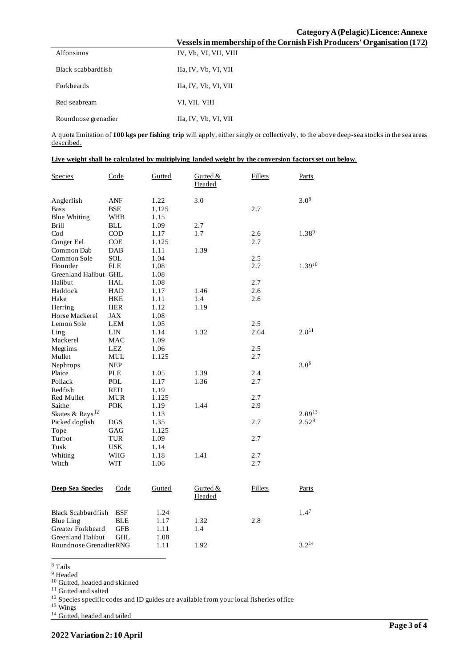## **Category A (Pelagic) Licence: Annexe Vessels in membership ofthe Cornish Fish Producers' Organisation (172)**

|                     | , своего на наспарств |
|---------------------|-----------------------|
| Alfonsinos          | IV, Vb, VI, VII, VIII |
| Black scabbardfish  | Ha, IV, Vb, VI, VII   |
| <b>Forkheards</b>   | Ha, IV, Vb, VI, VII   |
| Red seabream        | VI, VII, VIII         |
| Roundnose grenadier | Ha, IV, Vb, VI, VII   |

A quota limitation of **100 kgs per fishing trip** will apply, either singly or collectively, to the above deep-sea stocks in the sea areas described.

|  | Live weight shall be calculated by multiplying landed weight by the conversion factors set out below. |
|--|-------------------------------------------------------------------------------------------------------|
|  |                                                                                                       |

| Species                     | Code       | Gutted | Gutted &<br>Headed | Fillets | Parts            |
|-----------------------------|------------|--------|--------------------|---------|------------------|
| Anglerfish                  | ANF        | 1.22   | 3.0                |         | $3.0^{8}$        |
| <b>Bass</b>                 | <b>BSE</b> | 1.125  |                    | 2.7     |                  |
| <b>Blue Whiting</b>         | WHB        | 1.15   |                    |         |                  |
| <b>Brill</b>                | <b>BLL</b> | 1.09   | 2.7                |         |                  |
| $\mathrm{Cod}$              | <b>COD</b> | 1.17   | 1.7                | 2.6     | $1.38^{9}$       |
| Conger Eel                  | COE        | 1.125  |                    | 2.7     |                  |
| Common Dab                  | DAB        | 1.11   | 1.39               |         |                  |
| Common Sole                 | <b>SOL</b> | 1.04   |                    | 2.5     |                  |
| Flounder                    | <b>FLE</b> | 1.08   |                    | 2.7     | $1.39^{10}$      |
| Greenland Halibut GHL       |            | 1.08   |                    |         |                  |
| Halibut                     | <b>HAL</b> | 1.08   |                    | 2.7     |                  |
| Haddock                     | HAD        | 1.17   | 1.46               | 2.6     |                  |
| Hake                        | <b>HKE</b> | 1.11   | 1.4                | 2.6     |                  |
| Herring                     | <b>HER</b> | 1.12   | 1.19               |         |                  |
| Horse Mackerel              | <b>JAX</b> | 1.08   |                    |         |                  |
| Lemon Sole                  | LEM        | 1.05   |                    | 2.5     |                  |
| Ling                        | <b>LIN</b> | 1.14   | 1.32               | 2.64    | $2.8^{11}$       |
| Mackerel                    | MAC        | 1.09   |                    |         |                  |
| Megrims                     | LEZ        | 1.06   |                    | 2.5     |                  |
| Mullet                      | <b>MUL</b> | 1.125  |                    | 2.7     |                  |
| Nephrops                    | <b>NEP</b> |        |                    |         | $3.0^{6}$        |
| Plaice                      | PLE        | 1.05   | 1.39               | 2.4     |                  |
| Pollack                     | POL        | 1.17   | 1.36               | 2.7     |                  |
| Redfish                     | <b>RED</b> | 1.19   |                    |         |                  |
| Red Mullet                  | <b>MUR</b> | 1.125  |                    | 2.7     |                  |
| Saithe                      | <b>POK</b> | 1.19   | 1.44               | 2.9     |                  |
| Skates & Rays <sup>12</sup> |            | 1.13   |                    |         | $2.09^{13}$      |
| Picked dogfish              | <b>DGS</b> | 1.35   |                    | 2.7     | $2.52^{8}$       |
| Tope                        | GAG        | 1.125  |                    |         |                  |
| Turbot                      | <b>TUR</b> | 1.09   |                    | 2.7     |                  |
| Tusk                        | <b>USK</b> | 1.14   |                    |         |                  |
| Whiting                     | WHG        | 1.18   | 1.41               | 2.7     |                  |
| Witch                       | WIT        | 1.06   |                    | 2.7     |                  |
|                             |            |        |                    |         |                  |
| <b>Deep Sea Species</b>     | Code       | Gutted | Gutted &           | Fillets | Parts            |
|                             |            |        | Headed             |         |                  |
| <b>Black Scabbardfish</b>   | <b>BSF</b> | 1.24   |                    |         | 1.4 <sup>7</sup> |
| <b>Blue Ling</b>            | <b>BLE</b> | 1.17   | 1.32               | 2.8     |                  |
| Greater Forkbeard           | GFB        | 1.11   | 1.4                |         |                  |
| <b>Greenland Halibut</b>    | <b>GHL</b> | 1.08   |                    |         |                  |
| Roundnose GrenadierRNG      |            | 1.11   | 1.92               |         | $3.2^{14}$       |
|                             |            |        |                    |         |                  |

<sup>8</sup> Tails

<sup>9</sup> Headed

<sup>10</sup> Gutted, headed and skinned

<sup>11</sup> Gutted and salted

<sup>12</sup> Species specific codes and ID guides are available from your local fisheries office

<sup>13</sup> Wings

 $14$  Gutted, headed and tailed